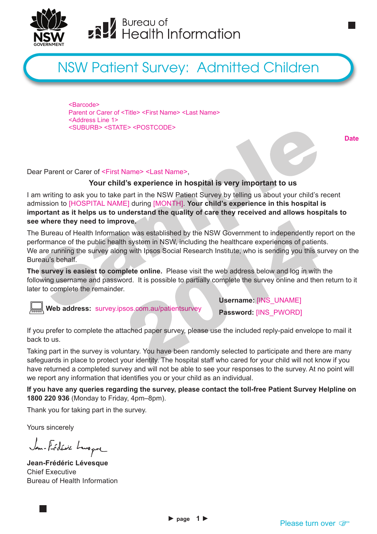

# **ERV** Bureau of<br> **ERV** Health Information

# NSW Patient Survey: Admitted Children

<Barcode> Parent or Carer of <Title> <First Name> <Last Name> <Address Line 1> <SUBURB> <STATE> <POSTCODE>

**Date**

#### Dear Parent or Carer of <First Name> <Last Name>,

#### **Your child's experience in hospital is very important to us**

I am writing to ask you to take part in the NSW Patient Survey by telling us about your child's recent admission to [HOSPITAL NAME] during [MONTH]. **Your child's experience in this hospital is important as it helps us to understand the quality of care they received and allows hospitals to see where they need to improve.**

The Bureau of Health Information was established by the NSW Government to independently report on the performance of the public health system in NSW, including the healthcare experiences of patients. We are running the survey along with Ipsos Social Research Institute, who is sending you this survey on the Bureau's behalf.

**The survey is easiest to complete online.** Please visit the web address below and log in with the following username and password. It is possible to partially complete the survey online and then return to it later to complete the remainder.

 **Web address:** survey.ipsos.com.au/patientsurvey

**Username:** [INS\_UNAME]

**Password:** [INS\_PWORD]

If you prefer to complete the attached paper survey, please use the included reply-paid envelope to mail it back to us.

Taking part in the survey is voluntary. You have been randomly selected to participate and there are many safeguards in place to protect your identity. The hospital staff who cared for your child will not know if you have returned a completed survey and will not be able to see your responses to the survey. At no point will we report any information that identifies you or your child as an individual.

**If you have any queries regarding the survey, please contact the toll-free Patient Survey Helpline on 1800 220 936** (Monday to Friday, 4pm–8pm).

Thank you for taking part in the survey.

Yours sincerely

Jan-Frédéric Lenger

**Jean-Frédéric Lévesque** Chief Executive Bureau of Health Information

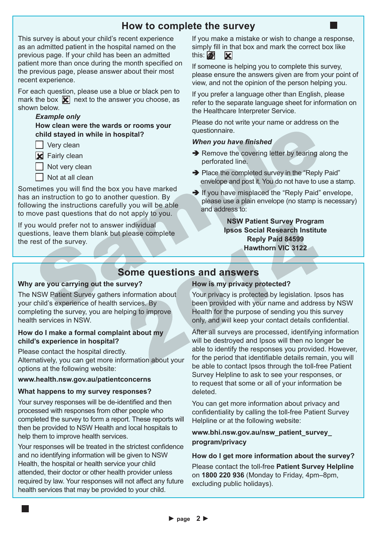# **How to complete the survey**

This survey is about your child's recent experience as an admitted patient in the hospital named on the previous page. If your child has been an admitted patient more than once during the month specified on the previous page, please answer about their most recent experience.

For each question, please use a blue or black pen to mark the box  $\mathbf{\nabla}$  next to the answer you choose, as shown below.

#### *Example only*

 **How clean were the wards or rooms your child stayed in while in hospital?**

 $\Box$  Very clean

**X** Fairly clean

Not very clean

Not at all clean

Sometimes you will find the box you have marked has an instruction to go to another question. By following the instructions carefully you will be able to move past questions that do not apply to you.

If you would prefer not to answer individual questions, leave them blank but please complete the rest of the survey.

If you make a mistake or wish to change a response, simply fill in that box and mark the correct box like this:  $\blacksquare$ **IXI** 

If someone is helping you to complete this survey, please ensure the answers given are from your point of view, and not the opinion of the person helping you.

If you prefer a language other than English, please refer to the separate language sheet for information on the Healthcare Interpreter Service.

Please do not write your name or address on the questionnaire.

#### *When you have finished*

- $\rightarrow$  Remove the covering letter by tearing along the perforated line.
- $\rightarrow$  Place the completed survey in the "Reply Paid" envelope and post it. You do not have to use a stamp.
- $\rightarrow$  If you have misplaced the "Reply Paid" envelope, please use a plain envelope (no stamp is necessary) and address to:

**NSW Patient Survey Program Ipsos Social Research Institute Reply Paid 84599 Hawthorn VIC 3122**

### **Some questions and answers**

#### **Why are you carrying out the survey?**

The NSW Patient Survey gathers information about your child's experience of health services. By completing the survey, you are helping to improve health services in NSW.

#### **How do I make a formal complaint about my child's experience in hospital?**

Please contact the hospital directly.

Alternatively, you can get more information about your options at the following website:

#### **www.health.nsw.gov.au/patientconcerns**

#### **What happens to my survey responses?**

Your survey responses will be de-identified and then processed with responses from other people who completed the survey to form a report. These reports will then be provided to NSW Health and local hospitals to help them to improve health services.

Your responses will be treated in the strictest confidence and no identifying information will be given to NSW Health, the hospital or health service your child attended, their doctor or other health provider unless required by law. Your responses will not affect any future health services that may be provided to your child.

#### **How is my privacy protected?**

Your privacy is protected by legislation. Ipsos has been provided with your name and address by NSW Health for the purpose of sending you this survey only, and will keep your contact details confidential.

After all surveys are processed, identifying information will be destroyed and Ipsos will then no longer be able to identify the responses you provided. However, for the period that identifiable details remain, you will be able to contact Ipsos through the toll-free Patient Survey Helpline to ask to see your responses, or to request that some or all of your information be deleted.

You can get more information about privacy and confidentiality by calling the toll-free Patient Survey Helpline or at the following website:

#### **www.bhi.nsw.gov.au/nsw\_patient\_survey\_ program/privacy**

# **How do I get more information about the survey?**

Please contact the toll-free **Patient Survey Helpline** on **1800 220 936** (Monday to Friday, 4pm–8pm, excluding public holidays).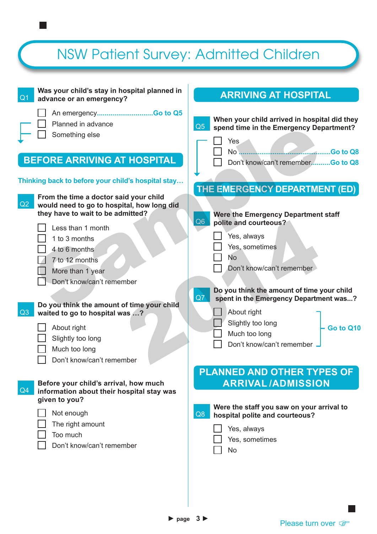# NSW Patient Survey: Admitted Children

| Was your child's stay in hospital planned in<br>Q <sub>1</sub><br>advance or an emergency?                                                                                                                                                                                                                                                                                                                                        | <b>ARRIVING AT HOSPITAL</b>                                                                                                                                                                                                                                                                                                                     |
|-----------------------------------------------------------------------------------------------------------------------------------------------------------------------------------------------------------------------------------------------------------------------------------------------------------------------------------------------------------------------------------------------------------------------------------|-------------------------------------------------------------------------------------------------------------------------------------------------------------------------------------------------------------------------------------------------------------------------------------------------------------------------------------------------|
| Planned in advance<br>Something else<br><b>BEFORE ARRIVING AT HOSPITAL</b>                                                                                                                                                                                                                                                                                                                                                        | When your child arrived in hospital did they<br>Q5<br>spend time in the Emergency Department?<br>Yes<br>Don't know/can't rememberGo to Q8                                                                                                                                                                                                       |
| Thinking back to before your child's hospital stay                                                                                                                                                                                                                                                                                                                                                                                | THE EMERGENCY DEPARTMENT (ED)                                                                                                                                                                                                                                                                                                                   |
| From the time a doctor said your child<br>Q2<br>would need to go to hospital, how long did<br>they have to wait to be admitted?<br>Less than 1 month<br>1 to 3 months<br>4 to 6 months<br>7 to 12 months<br>More than 1 year<br>Don't know/can't remember<br>Do you think the amount of time your child<br>Q3<br>waited to go to hospital was ?<br>About right<br>Slightly too long<br>Much too long<br>Don't know/can't remember | Were the Emergency Department staff<br>Q <sub>6</sub><br>polite and courteous?<br>Yes, always<br>Yes, sometimes<br>No<br>Don't know/can't remember<br>Do you think the amount of time your child<br>Q7<br>spent in the Emergency Department was?<br>About right<br>Slightly too long<br>Go to Q10<br>Much too long<br>Don't know/can't remember |
| Before your child's arrival, how much<br>Q4<br>information about their hospital stay was<br>given to you?<br>Not enough<br>The right amount<br>Too much<br>Don't know/can't remember                                                                                                                                                                                                                                              | <b>PLANNED AND OTHER TYPES OF</b><br><b>ARRIVAL/ADMISSION</b><br>Were the staff you saw on your arrival to<br>Q8<br>hospital polite and courteous?<br>Yes, always<br>Yes, sometimes<br><b>No</b>                                                                                                                                                |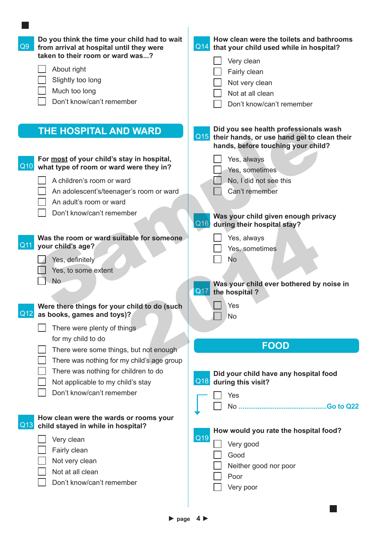| Q9  | Do you think the time your child had to wait<br>from arrival at hospital until they were<br>taken to their room or ward was? | How clean were the toilets and bathrooms<br>Q14<br>that your child used while in hospital?<br>Very clean                          |
|-----|------------------------------------------------------------------------------------------------------------------------------|-----------------------------------------------------------------------------------------------------------------------------------|
|     | About right                                                                                                                  | Fairly clean                                                                                                                      |
|     | Slightly too long                                                                                                            | Not very clean                                                                                                                    |
|     | Much too long                                                                                                                | Not at all clean                                                                                                                  |
|     | Don't know/can't remember                                                                                                    | Don't know/can't remember                                                                                                         |
|     |                                                                                                                              |                                                                                                                                   |
|     | <b>THE HOSPITAL AND WARD</b>                                                                                                 | Did you see health professionals wash<br>Q15<br>their hands, or use hand gel to clean their<br>hands, before touching your child? |
|     | For most of your child's stay in hospital,                                                                                   | Yes, always                                                                                                                       |
| Q10 | what type of room or ward were they in?                                                                                      | Yes, sometimes                                                                                                                    |
|     | A children's room or ward                                                                                                    | No, I did not see this                                                                                                            |
|     | An adolescent's/teenager's room or ward                                                                                      | Can't remember                                                                                                                    |
|     | An adult's room or ward                                                                                                      |                                                                                                                                   |
|     | Don't know/can't remember                                                                                                    | Was your child given enough privacy<br>$\Omega$ 16<br>during their hospital stay?                                                 |
|     | Was the room or ward suitable for someone                                                                                    | Yes, always                                                                                                                       |
| Q11 | your child's age?                                                                                                            | Yes, sometimes                                                                                                                    |
|     | Yes, definitely                                                                                                              | No                                                                                                                                |
|     | Yes, to some extent                                                                                                          |                                                                                                                                   |
|     | <b>No</b>                                                                                                                    |                                                                                                                                   |
|     |                                                                                                                              | Was your child ever bothered by noise in<br>Q17<br>the hospital?                                                                  |
|     | Were there things for your child to do (such                                                                                 | Yes                                                                                                                               |
| Q12 | as books, games and toys)?                                                                                                   | No                                                                                                                                |
|     | There were plenty of things                                                                                                  |                                                                                                                                   |
|     | for my child to do                                                                                                           |                                                                                                                                   |
|     | There were some things, but not enough                                                                                       | <b>FOOD</b>                                                                                                                       |
|     | There was nothing for my child's age group                                                                                   |                                                                                                                                   |
|     | There was nothing for children to do                                                                                         | Did your child have any hospital food                                                                                             |
|     | Not applicable to my child's stay                                                                                            | Q18<br>during this visit?                                                                                                         |
|     | Don't know/can't remember                                                                                                    | Yes                                                                                                                               |
|     |                                                                                                                              |                                                                                                                                   |
|     | How clean were the wards or rooms your                                                                                       |                                                                                                                                   |
| Q13 | child stayed in while in hospital?                                                                                           | How would you rate the hospital food?                                                                                             |
|     | Very clean                                                                                                                   | Q19                                                                                                                               |
|     | Fairly clean                                                                                                                 | Very good                                                                                                                         |
|     | Not very clean                                                                                                               | Good                                                                                                                              |
|     | Not at all clean                                                                                                             | Neither good nor poor                                                                                                             |
|     | Don't know/can't remember                                                                                                    | Poor                                                                                                                              |
|     |                                                                                                                              | Very poor                                                                                                                         |
|     |                                                                                                                              |                                                                                                                                   |
|     |                                                                                                                              |                                                                                                                                   |

 $\overline{\phantom{a}}$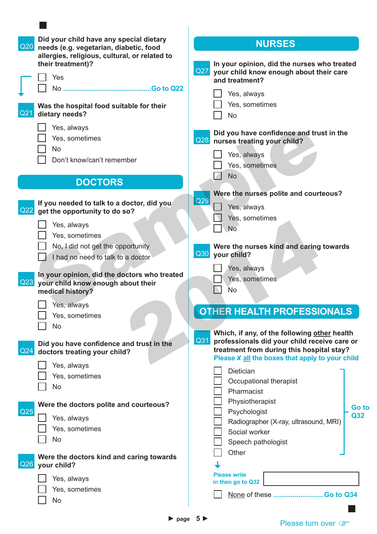| Did your child have any special dietary<br>Q20<br>needs (e.g. vegetarian, diabetic, food<br>allergies, religious, cultural, or related to | <b>NURSES</b>                                                                                                                                       |
|-------------------------------------------------------------------------------------------------------------------------------------------|-----------------------------------------------------------------------------------------------------------------------------------------------------|
| their treatment)?<br>Yes                                                                                                                  | In your opinion, did the nurses who treated<br>Q27<br>your child know enough about their care<br>and treatment?                                     |
|                                                                                                                                           | Yes, always                                                                                                                                         |
| Was the hospital food suitable for their<br>Q21<br>dietary needs?                                                                         | Yes, sometimes<br><b>No</b>                                                                                                                         |
| Yes, always<br>Yes, sometimes<br><b>No</b><br>Don't know/can't remember                                                                   | Did you have confidence and trust in the<br>Q28<br>nurses treating your child?<br>Yes, always<br>Yes, sometimes                                     |
| <b>DOCTORS</b>                                                                                                                            | <b>No</b>                                                                                                                                           |
| If you needed to talk to a doctor, did you<br>Q22<br>get the opportunity to do so?<br>Yes, always<br>Yes, sometimes                       | Were the nurses polite and courteous?<br>Q29<br>Yes, always<br>Yes, sometimes<br><b>No</b>                                                          |
| No, I did not get the opportunity<br>I had no need to talk to a doctor                                                                    | Were the nurses kind and caring towards<br>Q30<br>your child?                                                                                       |
| In your opinion, did the doctors who treated<br>Q23<br>your child know enough about their<br>medical history?                             | Yes, always<br>Yes, sometimes<br><b>No</b>                                                                                                          |
| Yes, always<br>Yes, sometimes<br>No                                                                                                       | <b>OTHER HEALTH PROFESSIONALS</b><br>Which, if any, of the following other health                                                                   |
| Did you have confidence and trust in the<br>$\vert$ Q24<br>doctors treating your child?                                                   | Q31<br>professionals did your child receive care or<br>treatment from during this hospital stay?<br>Please X all the boxes that apply to your child |
| Yes, always<br>Yes, sometimes<br>No                                                                                                       | Dietician<br>Occupational therapist<br>Pharmacist                                                                                                   |
| Were the doctors polite and courteous?<br>Q <sub>25</sub><br>Yes, always                                                                  | Physiotherapist<br>Go to<br>Psychologist<br>Q32<br>Radiographer (X-ray, ultrasound, MRI)                                                            |
| Yes, sometimes<br>No                                                                                                                      | Social worker<br>Speech pathologist<br>Other                                                                                                        |
| Were the doctors kind and caring towards<br>Q26<br>your child?                                                                            |                                                                                                                                                     |
| Yes, always<br>Yes, sometimes<br><b>No</b>                                                                                                | <b>Please write</b><br>in then go to Q32<br>None of these Go to Q34                                                                                 |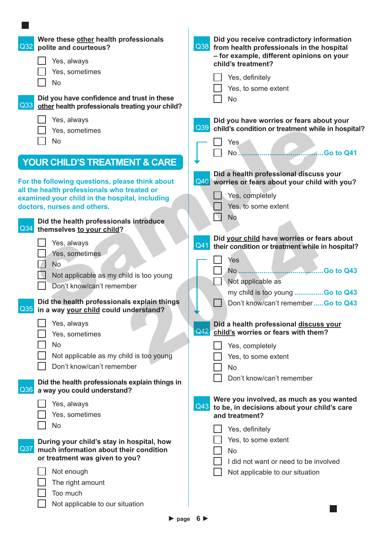| Were these other health professionals<br>Q32<br>polite and courteous?<br>Yes, always<br>Yes, sometimes<br><b>No</b><br>Did you have confidence and trust in these<br>$\vert$ Q33<br>other health professionals treating your child? | Did you receive contradictory information<br>Q38 from health professionals in the hospital<br>- for example, different opinions on your<br>child's treatment?<br>Yes, definitely<br>Yes, to some extent<br><b>No</b> |
|-------------------------------------------------------------------------------------------------------------------------------------------------------------------------------------------------------------------------------------|----------------------------------------------------------------------------------------------------------------------------------------------------------------------------------------------------------------------|
| Yes, always                                                                                                                                                                                                                         | Did you have worries or fears about your<br>Q39 child's condition or treatment while in hospital?                                                                                                                    |
| Yes, sometimes                                                                                                                                                                                                                      |                                                                                                                                                                                                                      |
| <b>No</b>                                                                                                                                                                                                                           | Yes                                                                                                                                                                                                                  |
| <b>YOUR CHILD'S TREATMENT &amp; CARE</b>                                                                                                                                                                                            | Go to Q41<br>No                                                                                                                                                                                                      |
| For the following questions, please think about<br>all the health professionals who treated or                                                                                                                                      | Did a health professional discuss your<br>Q40 worries or fears about your child with you?                                                                                                                            |
| examined your child in the hospital, including                                                                                                                                                                                      | Yes, completely                                                                                                                                                                                                      |
| doctors, nurses and others.                                                                                                                                                                                                         | Yes, to some extent                                                                                                                                                                                                  |
| Did the health professionals introduce                                                                                                                                                                                              | <b>No</b>                                                                                                                                                                                                            |
| Q34<br>themselves to your child?                                                                                                                                                                                                    |                                                                                                                                                                                                                      |
| Yes, always                                                                                                                                                                                                                         | Did your child have worries or fears about<br>Q41<br>their condition or treatment while in hospital?                                                                                                                 |
| Yes, sometimes                                                                                                                                                                                                                      |                                                                                                                                                                                                                      |
| <b>No</b>                                                                                                                                                                                                                           | Yes                                                                                                                                                                                                                  |
| Not applicable as my child is too young                                                                                                                                                                                             |                                                                                                                                                                                                                      |
| Don't know/can't remember                                                                                                                                                                                                           | Not applicable as                                                                                                                                                                                                    |
|                                                                                                                                                                                                                                     | my child is too young Go to Q43                                                                                                                                                                                      |
| Did the health professionals explain things<br>Q35 in a way your child could understand?                                                                                                                                            | Don't know/can't remember  Go to Q43                                                                                                                                                                                 |
| Yes, always<br>Yes, sometimes                                                                                                                                                                                                       | Did a health professional discuss your<br>Q42<br>child's worries or fears with them?                                                                                                                                 |
| No                                                                                                                                                                                                                                  | Yes, completely                                                                                                                                                                                                      |
| Not applicable as my child is too young                                                                                                                                                                                             | Yes, to some extent                                                                                                                                                                                                  |
| Don't know/can't remember                                                                                                                                                                                                           | <b>No</b>                                                                                                                                                                                                            |
|                                                                                                                                                                                                                                     | Don't know/can't remember                                                                                                                                                                                            |
| Did the health professionals explain things in<br>Q36<br>a way you could understand?                                                                                                                                                |                                                                                                                                                                                                                      |
| Yes, always                                                                                                                                                                                                                         | Were you involved, as much as you wanted<br>Q43<br>to be, in decisions about your child's care                                                                                                                       |
| Yes, sometimes                                                                                                                                                                                                                      | and treatment?                                                                                                                                                                                                       |
| No                                                                                                                                                                                                                                  | Yes, definitely                                                                                                                                                                                                      |
| During your child's stay in hospital, how                                                                                                                                                                                           | Yes, to some extent                                                                                                                                                                                                  |
| Q37<br>much information about their condition                                                                                                                                                                                       | No                                                                                                                                                                                                                   |
| or treatment was given to you?                                                                                                                                                                                                      | I did not want or need to be involved                                                                                                                                                                                |
| Not enough                                                                                                                                                                                                                          | Not applicable to our situation                                                                                                                                                                                      |
| The right amount                                                                                                                                                                                                                    |                                                                                                                                                                                                                      |
| Too much                                                                                                                                                                                                                            |                                                                                                                                                                                                                      |
| Not applicable to our situation                                                                                                                                                                                                     |                                                                                                                                                                                                                      |
|                                                                                                                                                                                                                                     |                                                                                                                                                                                                                      |
| $\blacktriangleright$ page                                                                                                                                                                                                          | 6 Þ                                                                                                                                                                                                                  |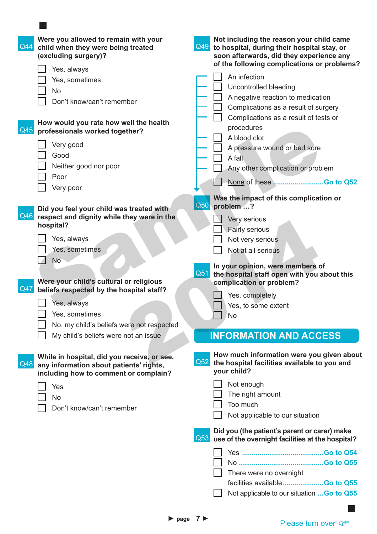| $\sqrt{Q44}$ | Were you allowed to remain with your<br>child when they were being treated<br>(excluding surgery)?                                                                                                                                                      | Not including the reason your child came<br>Q49<br>to hospital, during their hospital stay, or<br>soon afterwards, did they experience any<br>of the following complications or problems?                                                                                                              |
|--------------|---------------------------------------------------------------------------------------------------------------------------------------------------------------------------------------------------------------------------------------------------------|--------------------------------------------------------------------------------------------------------------------------------------------------------------------------------------------------------------------------------------------------------------------------------------------------------|
| $\vert$ Q45  | Yes, always<br>Yes, sometimes<br>No<br>Don't know/can't remember<br>How would you rate how well the health<br>professionals worked together?<br>Very good<br>Good<br>Neither good nor poor                                                              | An infection<br>Uncontrolled bleeding<br>A negative reaction to medication<br>Complications as a result of surgery<br>Complications as a result of tests or<br>procedures<br>A blood clot<br>A pressure wound or bed sore<br>A fall<br>Any other complication or problem                               |
|              | Poor<br>Very poor                                                                                                                                                                                                                                       |                                                                                                                                                                                                                                                                                                        |
| Q46<br>Q47   | Did you feel your child was treated with<br>respect and dignity while they were in the<br>hospital?<br>Yes, always<br>Yes, sometimes<br><b>No</b><br>Were your child's cultural or religious<br>beliefs respected by the hospital staff?<br>Yes, always | Was the impact of this complication or<br>Q50<br>problem ?<br>Very serious<br>Fairly serious<br>Not very serious<br>Not at all serious<br>In your opinion, were members of<br>Q51<br>the hospital staff open with you about this<br>complication or problem?<br>Yes, completely<br>Yes, to some extent |
|              | Yes, sometimes<br>No, my child's beliefs were not respected<br>My child's beliefs were not an issue                                                                                                                                                     | No<br><b>INFORMATION AND ACCESS</b>                                                                                                                                                                                                                                                                    |
| Q48          | While in hospital, did you receive, or see,<br>any information about patients' rights,<br>including how to comment or complain?<br>Yes<br>No<br>Don't know/can't remember                                                                               | How much information were you given about<br>Q52<br>the hospital facilities available to you and<br>your child?<br>Not enough<br>The right amount<br>Too much<br>Not applicable to our situation                                                                                                       |
|              |                                                                                                                                                                                                                                                         | Did you (the patient's parent or carer) make<br>Q53<br>use of the overnight facilities at the hospital?<br>There were no overnight<br>facilities availableGo to Q55<br>Not applicable to our situation  Go to Q55                                                                                      |

 $\overline{\phantom{a}}$ 

► **page 7 ►**<br>Please turn over F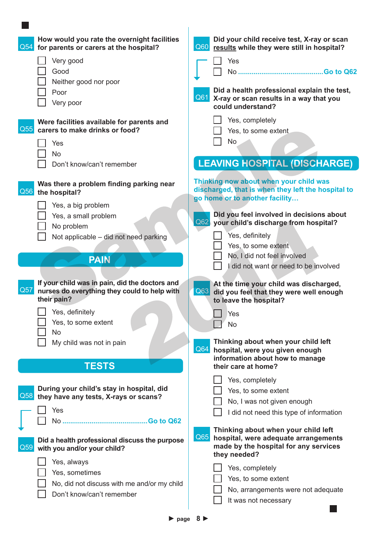| Q54              | How would you rate the overnight facilities<br>for parents or carers at the hospital?                         | Did your child receive test, X-ray or scan<br>Q60 results while they were still in hospital?                                                |
|------------------|---------------------------------------------------------------------------------------------------------------|---------------------------------------------------------------------------------------------------------------------------------------------|
|                  | Very good                                                                                                     | Yes                                                                                                                                         |
|                  | Good                                                                                                          |                                                                                                                                             |
|                  | Neither good nor poor                                                                                         |                                                                                                                                             |
|                  | Poor                                                                                                          | Did a health professional explain the test,                                                                                                 |
|                  | Very poor                                                                                                     | Q61 X-ray or scan results in a way that you                                                                                                 |
|                  |                                                                                                               | could understand?                                                                                                                           |
| $\overline{Q55}$ | Were facilities available for parents and<br>carers to make drinks or food?                                   | Yes, completely<br>Yes, to some extent                                                                                                      |
|                  | Yes                                                                                                           | <b>No</b>                                                                                                                                   |
|                  | <b>No</b>                                                                                                     |                                                                                                                                             |
|                  | Don't know/can't remember                                                                                     | <b>LEAVING HOSPITAL (DISCHARGE)</b>                                                                                                         |
| Q56              | Was there a problem finding parking near<br>the hospital?                                                     | Thinking now about when your child was<br>discharged, that is when they left the hospital to<br>go home or to another facility              |
|                  | Yes, a big problem                                                                                            |                                                                                                                                             |
|                  | Yes, a small problem                                                                                          | Did you feel involved in decisions about                                                                                                    |
|                  | No problem                                                                                                    | Q62 your child's discharge from hospital?                                                                                                   |
|                  | Not applicable – did not need parking                                                                         | Yes, definitely                                                                                                                             |
|                  |                                                                                                               | Yes, to some extent                                                                                                                         |
|                  | <b>PAIN</b>                                                                                                   | No, I did not feel involved                                                                                                                 |
|                  |                                                                                                               | I did not want or need to be involved                                                                                                       |
| Q57              | If your child was in pain, did the doctors and<br>nurses do everything they could to help with<br>their pain? | At the time your child was discharged,<br>Q63 did you feel that they were well enough<br>to leave the hospital?                             |
|                  | Yes, definitely                                                                                               | Yes                                                                                                                                         |
|                  | Yes, to some extent                                                                                           | <b>No</b>                                                                                                                                   |
|                  | <b>No</b>                                                                                                     |                                                                                                                                             |
|                  | My child was not in pain                                                                                      | Thinking about when your child left                                                                                                         |
|                  |                                                                                                               | Q64<br>hospital, were you given enough                                                                                                      |
|                  | <b>TESTS</b>                                                                                                  | information about how to manage<br>their care at home?                                                                                      |
|                  |                                                                                                               | Yes, completely                                                                                                                             |
|                  | During your child's stay in hospital, did                                                                     | Yes, to some extent                                                                                                                         |
| Q58              | they have any tests, X-rays or scans?                                                                         | No, I was not given enough                                                                                                                  |
|                  | Yes                                                                                                           | I did not need this type of information                                                                                                     |
|                  |                                                                                                               |                                                                                                                                             |
| Q59              | Did a health professional discuss the purpose<br>with you and/or your child?                                  | Thinking about when your child left<br>Q65<br>hospital, were adequate arrangements<br>made by the hospital for any services<br>they needed? |
|                  | Yes, always                                                                                                   |                                                                                                                                             |
|                  | Yes, sometimes                                                                                                | Yes, completely                                                                                                                             |
|                  | No, did not discuss with me and/or my child                                                                   | Yes, to some extent                                                                                                                         |
|                  | Don't know/can't remember                                                                                     | No, arrangements were not adequate                                                                                                          |
|                  |                                                                                                               | It was not necessary                                                                                                                        |
|                  |                                                                                                               |                                                                                                                                             |

 $\sim$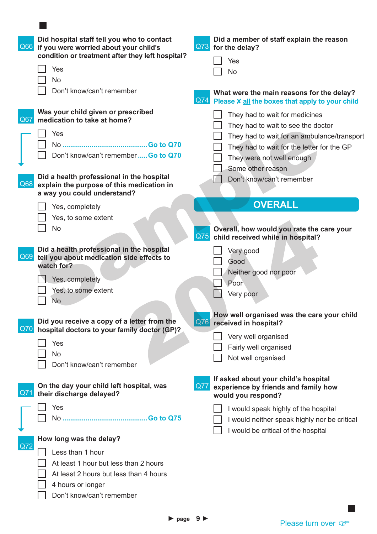| Q66        | Did hospital staff tell you who to contact<br>if you were worried about your child's<br>condition or treatment after they left hospital?<br>Yes                                                                                           | Did a member of staff explain the reason<br>Q73 for the delay?<br>Yes<br><b>No</b>                                                                                                                                                               |
|------------|-------------------------------------------------------------------------------------------------------------------------------------------------------------------------------------------------------------------------------------------|--------------------------------------------------------------------------------------------------------------------------------------------------------------------------------------------------------------------------------------------------|
|            | <b>No</b><br>Don't know/can't remember                                                                                                                                                                                                    | What were the main reasons for the delay?<br>Q74 Please X all the boxes that apply to your child                                                                                                                                                 |
| Q67<br>Q68 | Was your child given or prescribed<br>medication to take at home?<br>Yes<br>Don't know/can't remember  Go to Q70<br>Did a health professional in the hospital<br>explain the purpose of this medication in<br>a way you could understand? | They had to wait for medicines<br>They had to wait to see the doctor<br>They had to wait for an ambulance/transport<br>They had to wait for the letter for the GP<br>They were not well enough<br>Some other reason<br>Don't know/can't remember |
|            | Yes, completely<br>Yes, to some extent<br><b>No</b>                                                                                                                                                                                       | <b>OVERALL</b><br>Overall, how would you rate the care your<br>$Q\overline{75}$<br>child received while in hospital?                                                                                                                             |
| Q69        | Did a health professional in the hospital<br>tell you about medication side effects to<br>watch for?<br>Yes, completely<br>Yes, to some extent<br><b>No</b>                                                                               | Very good<br>Good<br>Neither good nor poor<br>Poor<br>Very poor<br>How well organised was the care your child                                                                                                                                    |
| Q70        | Did you receive a copy of a letter from the<br>hospital doctors to your family doctor (GP)?<br>Yes<br>No<br>Don't know/can't remember                                                                                                     | $\sqrt{Q76}$<br>received in hospital?<br>Very well organised<br>Fairly well organised<br>Not well organised                                                                                                                                      |
| Q71        | On the day your child left hospital, was<br>their discharge delayed?                                                                                                                                                                      | If asked about your child's hospital<br>Q77<br>experience by friends and family how<br>would you respond?                                                                                                                                        |
|            | Yes                                                                                                                                                                                                                                       | I would speak highly of the hospital<br>I would neither speak highly nor be critical<br>I would be critical of the hospital                                                                                                                      |
| Q72        | How long was the delay?<br>Less than 1 hour<br>At least 1 hour but less than 2 hours<br>At least 2 hours but less than 4 hours<br>4 hours or longer<br>Don't know/can't remember                                                          |                                                                                                                                                                                                                                                  |

 $\sim$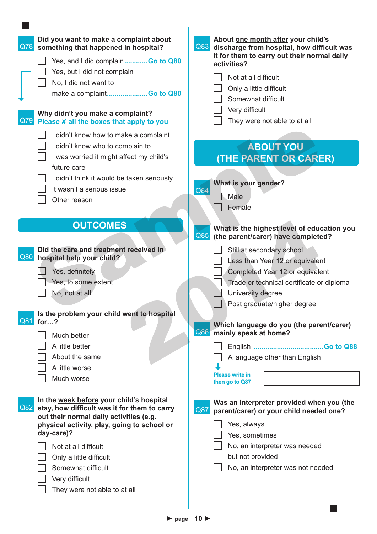| Did you want to make a complaint about<br>Q78<br>something that happened in hospital?<br>Yes, and I did complainGo to Q80<br>Yes, but I did not complain<br>No, I did not want to<br>make a complaintGo to Q80<br>Why didn't you make a complaint?<br>Q79<br>Please X all the boxes that apply to you                              | About one month after your child's<br>Q83<br>discharge from hospital, how difficult was<br>it for them to carry out their normal daily<br>activities?<br>Not at all difficult<br>Only a little difficult<br>Somewhat difficult<br>Very difficult<br>They were not able to at all |
|------------------------------------------------------------------------------------------------------------------------------------------------------------------------------------------------------------------------------------------------------------------------------------------------------------------------------------|----------------------------------------------------------------------------------------------------------------------------------------------------------------------------------------------------------------------------------------------------------------------------------|
| I didn't know how to make a complaint<br>I didn't know who to complain to<br>I was worried it might affect my child's<br>future care<br>I didn't think it would be taken seriously<br>It wasn't a serious issue<br>Other reason                                                                                                    | <b>ABOUT YOU</b><br>(THE PARENT OR CARER)<br>What is your gender?<br>Q84<br>Male<br>Female                                                                                                                                                                                       |
| <b>OUTCOMES</b><br>Did the care and treatment received in<br>Q80<br>hospital help your child?<br>Yes, definitely                                                                                                                                                                                                                   | What is the highest level of education you<br>Q85<br>(the parent/carer) have completed?<br>Still at secondary school<br>Less than Year 12 or equivalent<br>Completed Year 12 or equivalent                                                                                       |
| Yes, to some extent<br>No, not at all<br>Is the problem your child went to hospital<br>Q81<br>for?                                                                                                                                                                                                                                 | Trade or technical certificate or diploma<br>University degree<br>□ Post graduate/higher degree<br>Which language do you (the parent/carer)                                                                                                                                      |
| Much better<br>A little better<br>About the same<br>A little worse<br>Much worse                                                                                                                                                                                                                                                   | Q86<br>mainly speak at home?<br>A language other than English<br><b>Please write in</b><br>then go to Q87                                                                                                                                                                        |
| In the week before your child's hospital<br>Q82<br>stay, how difficult was it for them to carry<br>out their normal daily activities (e.g.<br>physical activity, play, going to school or<br>day-care)?<br>Not at all difficult<br>Only a little difficult<br>Somewhat difficult<br>Very difficult<br>They were not able to at all | Was an interpreter provided when you (the<br>Q87<br>parent/carer) or your child needed one?<br>Yes, always<br>Yes, sometimes<br>No, an interpreter was needed<br>but not provided<br>No, an interpreter was not needed                                                           |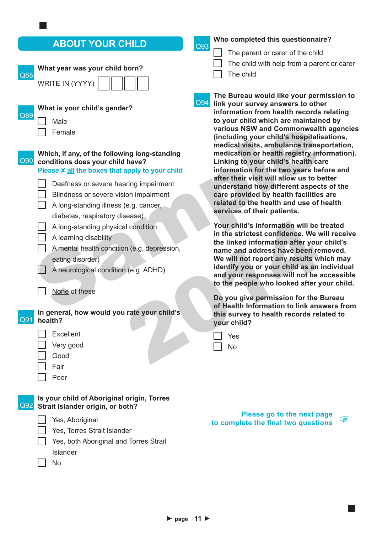## **ABOUT YOUR CHILD**

| What year was your child born?<br>Q88<br>WRITE IN (YYYY)                                                                                                                                                                                                                                                                                                                                                                                                                                            | Т                                                                                    |
|-----------------------------------------------------------------------------------------------------------------------------------------------------------------------------------------------------------------------------------------------------------------------------------------------------------------------------------------------------------------------------------------------------------------------------------------------------------------------------------------------------|--------------------------------------------------------------------------------------|
| What is your child's gender?<br>Q89<br>Male<br>Female                                                                                                                                                                                                                                                                                                                                                                                                                                               | Q94<br>liı<br>in<br>tc<br>V<br>(i<br>m                                               |
| Which, if any, of the following long-standing<br>Q90<br>conditions does your child have?<br>Please X all the boxes that apply to your child<br>Deafness or severe hearing impairment<br>Blindness or severe vision impairment<br>A long-standing illness (e.g. cancer,<br>diabetes, respiratory disease)<br>A long-standing physical condition<br>A learning disability<br>A mental health condition (e.g. depression,<br>eating disorder)<br>A neurological condition (e.g. ADHD)<br>None of these | m<br>L<br>in<br>a<br>u<br>C<br>r٤<br>S(<br>Y<br>ir<br>tł<br>n<br>N<br>ic<br>aı<br>tc |
| In general, how would you rate your child's<br>Q91<br>health?<br><b>Excellent</b><br>Very good<br>Good<br>Fair<br>Poor                                                                                                                                                                                                                                                                                                                                                                              | D<br>$\mathbf{O}$<br>tł<br>y <sub>(</sub>                                            |
| Is your child of Aboriginal origin, Torres<br>Q92<br>Strait Islander origin, or both?<br>Yes, Aboriginal<br>Yes, Torres Strait Islander<br>Yes, both Aboriginal and Torres Strait<br>Islander<br>No                                                                                                                                                                                                                                                                                                 | to                                                                                   |

#### **Who completed this questionnaire?**

Q93 Г

- The parent or carer of the child
- The child with help from a parent or carer

The child

**The Bureau would like your permission to link your survey answers to other information from health records relating to your child which are maintained by various NSW and Commonwealth agencies (including your child's hospitalisations, medical visits, ambulance transportation, medication or health registry information). Linking to your child's health care information for the two years before and after their visit will allow us to better understand how different aspects of the care provided by health facilities are related to the health and use of health services of their patients.**

**Your child's information will be treated in the strictest confidence. We will receive the linked information after your child's name and address have been removed. We will not report any results which may identify you or your child as an individual and your responses will not be accessible the people who looked after your child.** 

**Do you give permission for the Bureau of Health Information to link answers from this survey to health records related to your child?**

| Yes |
|-----|
| n   |

**Please go to the next page there complete** the final two questions